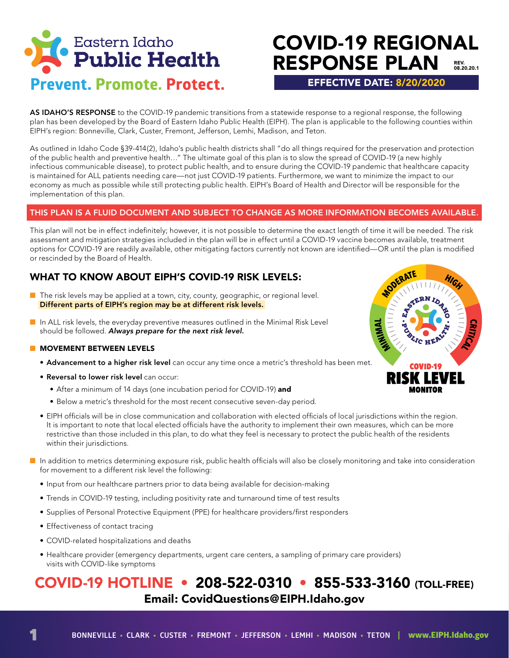

## COVID-19 REGIONAL RESPONSE PLAN REV. 08.20.20.1

EFFECTIVE DATE: 8/20/2020

AS IDAHO'S RESPONSE to the COVID-19 pandemic transitions from a statewide response to a regional response, the following plan has been developed by the Board of Eastern Idaho Public Health (EIPH). The plan is applicable to the following counties within EIPH's region: Bonneville, Clark, Custer, Fremont, Jefferson, Lemhi, Madison, and Teton.

As outlined in Idaho Code §39-414(2), Idaho's public health districts shall "do all things required for the preservation and protection of the public health and preventive health…" The ultimate goal of this plan is to slow the spread of COVID-19 (a new highly infectious communicable disease), to protect public health, and to ensure during the COVID-19 pandemic that healthcare capacity is maintained for ALL patients needing care—not just COVID-19 patients. Furthermore, we want to minimize the impact to our economy as much as possible while still protecting public health. EIPH's Board of Health and Director will be responsible for the implementation of this plan.

#### THIS PLAN IS A FLUID DOCUMENT AND SUBJECT TO CHANGE AS MORE INFORMATION BECOMES AVAILABLE.

This plan will not be in effect indefinitely; however, it is not possible to determine the exact length of time it will be needed. The risk assessment and mitigation strategies included in the plan will be in effect until a COVID-19 vaccine becomes available, treatment options for COVID-19 are readily available, other mitigating factors currently not known are identified—OR until the plan is modified or rescinded by the Board of Health.

### WHAT TO KNOW ABOUT EIPH'S COVID-19 RISK LEVELS:

- $\blacksquare$  The risk levels may be applied at a town, city, county, geographic, or regional level. Different parts of EIPH's region may be at different risk levels.
- $\blacksquare$  In ALL risk levels, the everyday preventive measures outlined in the Minimal Risk Level should be followed. *Always prepare for the next risk level.*

#### **NOVEMENT BETWEEN LEVELS**

- Advancement to a higher risk level can occur any time once a metric's threshold has been met.
- Reversal to lower risk level can occur:
	- After a minimum of 14 days (one incubation period for COVID-19) and
	- Below a metric's threshold for the most recent consecutive seven-day period.
- EIPH officials will be in close communication and collaboration with elected officials of local jurisdictions within the region. It is important to note that local elected officials have the authority to implement their own measures, which can be more restrictive than those included in this plan, to do what they feel is necessary to protect the public health of the residents within their jurisdictions.
- n In addition to metrics determining exposure risk, public health officials will also be closely monitoring and take into consideration for movement to a different risk level the following:
	- Input from our healthcare partners prior to data being available for decision-making
	- Trends in COVID-19 testing, including positivity rate and turnaround time of test results
	- Supplies of Personal Protective Equipment (PPE) for healthcare providers/first responders
	- Effectiveness of contact tracing
	- COVID-related hospitalizations and deaths
	- Healthcare provider (emergency departments, urgent care centers, a sampling of primary care providers) visits with COVID-like symptoms

## COVID-19 HOTLINE • 208-522-0310 • 855-533-3160 (TOLL-FREE) Email: CovidQuestions@EIPH.Idaho.gov

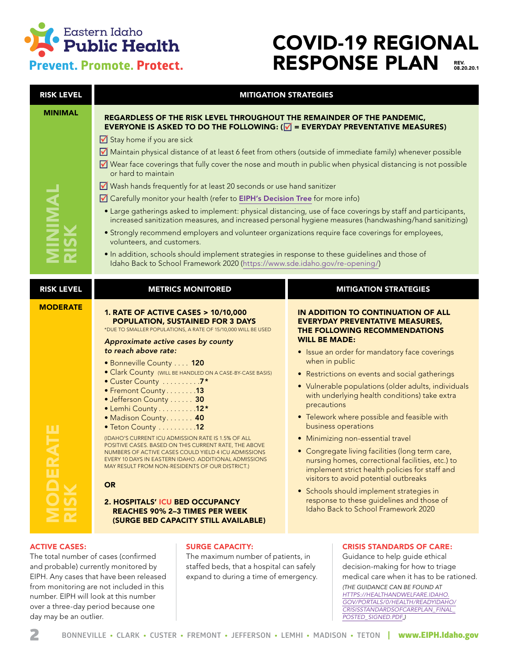

## COVID-19 REGIONAL RESPONSE PLAN REV.<br>08.20.20.1

| <b>RISK LEVEL</b>               | <b>MITIGATION STRATEGIES</b>                                                                                                                                                                                                                                                                                                                                                                                                                                                                                                                                                                                                                                                                                                                                                                                                                                                                                                                                                                                                                                                                                                                                                                 |                                                                                                                                                                                                                                                                                                                                                                                                                                                                                                                                                                                                                                                                                                                                                                                                                                |  |
|---------------------------------|----------------------------------------------------------------------------------------------------------------------------------------------------------------------------------------------------------------------------------------------------------------------------------------------------------------------------------------------------------------------------------------------------------------------------------------------------------------------------------------------------------------------------------------------------------------------------------------------------------------------------------------------------------------------------------------------------------------------------------------------------------------------------------------------------------------------------------------------------------------------------------------------------------------------------------------------------------------------------------------------------------------------------------------------------------------------------------------------------------------------------------------------------------------------------------------------|--------------------------------------------------------------------------------------------------------------------------------------------------------------------------------------------------------------------------------------------------------------------------------------------------------------------------------------------------------------------------------------------------------------------------------------------------------------------------------------------------------------------------------------------------------------------------------------------------------------------------------------------------------------------------------------------------------------------------------------------------------------------------------------------------------------------------------|--|
| <b>MINIMAL</b><br><b>INIMAL</b> | REGARDLESS OF THE RISK LEVEL THROUGHOUT THE REMAINDER OF THE PANDEMIC,<br><b>EVERYONE IS ASKED TO DO THE FOLLOWING: (<math>\sqrt{ }</math> = EVERYDAY PREVENTATIVE MEASURES)</b><br>$\sqrt{\phantom{a}}$ Stay home if you are sick<br>Maintain physical distance of at least 6 feet from others (outside of immediate family) whenever possible<br>■ Wear face coverings that fully cover the nose and mouth in public when physical distancing is not possible<br>or hard to maintain<br>■ Wash hands frequently for at least 20 seconds or use hand sanitizer<br>Carefully monitor your health (refer to EIPH's Decision Tree for more info)<br>• Large gatherings asked to implement: physical distancing, use of face coverings by staff and participants,<br>increased sanitization measures, and increased personal hygiene measures (handwashing/hand sanitizing)<br>• Strongly recommend employers and volunteer organizations require face coverings for employees,<br>volunteers, and customers.<br>· In addition, schools should implement strategies in response to these guidelines and those of<br>Idaho Back to School Framework 2020 (https://www.sde.idaho.gov/re-opening/) |                                                                                                                                                                                                                                                                                                                                                                                                                                                                                                                                                                                                                                                                                                                                                                                                                                |  |
| <b>RISK LEVEL</b>               | <b>METRICS MONITORED</b>                                                                                                                                                                                                                                                                                                                                                                                                                                                                                                                                                                                                                                                                                                                                                                                                                                                                                                                                                                                                                                                                                                                                                                     | <b>MITIGATION STRATEGIES</b>                                                                                                                                                                                                                                                                                                                                                                                                                                                                                                                                                                                                                                                                                                                                                                                                   |  |
| <b>MODERATE</b><br><b>OR</b>    | <b>1. RATE OF ACTIVE CASES &gt; 10/10,000</b><br><b>POPULATION, SUSTAINED FOR 3 DAYS</b><br>*DUE TO SMALLER POPULATIONS, A RATE OF 15/10,000 WILL BE USED<br>Approximate active cases by county<br>to reach above rate:<br>• Bonneville County 120<br>· Clark County (WILL BE HANDLED ON A CASE-BY-CASE BASIS)<br>• Custer County 7*<br>• Fremont County13<br>• Jefferson County  30<br>• Lemhi County 12*<br>· Madison County 40<br>• Teton County 12<br>(IDAHO'S CURRENT ICU ADMISSION RATE IS 1.5% OF ALL<br>POSITIVE CASES. BASED ON THIS CURRENT RATE, THE ABOVE<br>NUMBERS OF ACTIVE CASES COULD YIELD 4 ICU ADMISSIONS<br>EVERY 10 DAYS IN EASTERN IDAHO. ADDITIONAL ADMISSIONS<br>MAY RESULT FROM NON-RESIDENTS OF OUR DISTRICT.)<br>2. HOSPITALS' ICU BED OCCUPANCY<br><b>REACHES 90% 2-3 TIMES PER WEEK</b><br>(SURGE BED CAPACITY STILL AVAILABLE)                                                                                                                                                                                                                                                                                                                                | IN ADDITION TO CONTINUATION OF ALL<br><b>EVERYDAY PREVENTATIVE MEASURES,</b><br>THE FOLLOWING RECOMMENDATIONS<br><b>WILL BE MADE:</b><br>• Issue an order for mandatory face coverings<br>when in public<br>• Restrictions on events and social gatherings<br>• Vulnerable populations (older adults, individuals<br>with underlying health conditions) take extra<br>precautions<br>• Telework where possible and feasible with<br>business operations<br>• Minimizing non-essential travel<br>• Congregate living facilities (long term care,<br>nursing homes, correctional facilities, etc.) to<br>implement strict health policies for staff and<br>visitors to avoid potential outbreaks<br>• Schools should implement strategies in<br>response to these guidelines and those of<br>Idaho Back to School Framework 2020 |  |

and probable) currently monitored by EIPH. Any cases that have been released from monitoring are not included in this number. EIPH will look at this number over a three-day period because one day may be an outlier.

staffed beds, that a hospital can safely expand to during a time of emergency. decision-making for how to triage medical care when it has to be rationed.

*(THE GUIDANCE CAN BE FOUND AT [HTTPS://HEALTHANDWELFARE.IDAHO.](https://healthandwelfare.idaho.gov/Portals/0/Health/ReadyIdaho/CrisisStandardsofCarePlan_Final_
Posted_Signed.pdf) [GOV/PORTALS/0/HEALTH/READYIDAHO/](https://healthandwelfare.idaho.gov/Portals/0/Health/ReadyIdaho/CrisisStandardsofCarePlan_Final_
Posted_Signed.pdf) [CRISISSTANDARDSOFCAREPLAN\\_FINAL\\_](https://healthandwelfare.idaho.gov/Portals/0/Health/ReadyIdaho/CrisisStandardsofCarePlan_Final_
Posted_Signed.pdf) [POSTED\\_SIGNED.PDF.](https://healthandwelfare.idaho.gov/Portals/0/Health/ReadyIdaho/CrisisStandardsofCarePlan_Final_
Posted_Signed.pdf))*